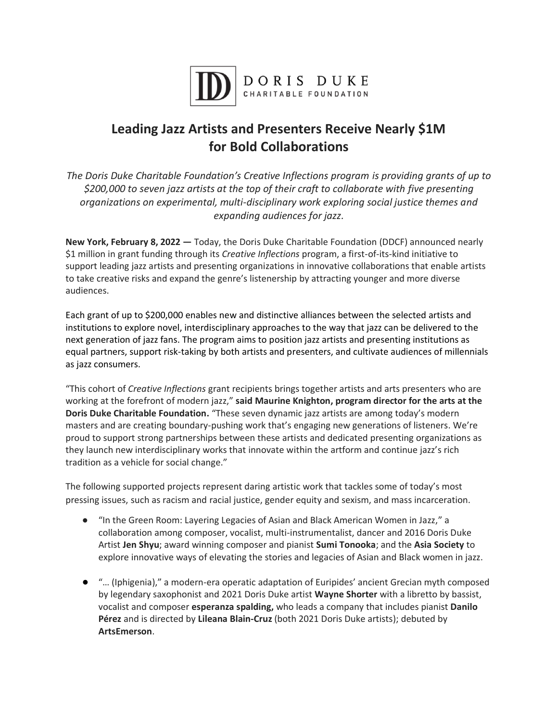

## **Leading Jazz Artists and Presenters Receive Nearly \$1M for Bold Collaborations**

*The Doris Duke Charitable Foundation's Creative Inflections program is providing grants of up to \$200,000 to seven jazz artists at the top of their craft to collaborate with five presenting organizations on experimental, multi-disciplinary work exploring social justice themes and expanding audiences for jazz.*

**New York, February 8, 2022 —** Today, the Doris Duke Charitable Foundation (DDCF) announced nearly \$1 million in grant funding through its *Creative Inflections* program, a first-of-its-kind initiative to support leading jazz artists and presenting organizations in innovative collaborations that enable artists to take creative risks and expand the genre's listenership by attracting younger and more diverse audiences.

Each grant of up to \$200,000 enables new and distinctive alliances between the selected artists and institutions to explore novel, interdisciplinary approaches to the way that jazz can be delivered to the next generation of jazz fans. The program aims to position jazz artists and presenting institutions as equal partners, support risk-taking by both artists and presenters, and cultivate audiences of millennials as jazz consumers.

"This cohort of *Creative Inflections* grant recipients brings together artists and arts presenters who are working at the forefront of modern jazz," **said Maurine Knighton, program director for the arts at the Doris Duke Charitable Foundation.** "These seven dynamic jazz artists are among today's modern masters and are creating boundary-pushing work that's engaging new generations of listeners. We're proud to support strong partnerships between these artists and dedicated presenting organizations as they launch new interdisciplinary works that innovate within the artform and continue jazz's rich tradition as a vehicle for social change."

The following supported projects represent daring artistic work that tackles some of today's most pressing issues, such as racism and racial justice, gender equity and sexism, and mass incarceration.

- "In the Green Room: Layering Legacies of Asian and Black American Women in Jazz," a collaboration among composer, vocalist, multi-instrumentalist, dancer and 2016 Doris Duke Artist **Jen Shyu**; award winning composer and pianist **Sumi Tonooka**; and the **Asia Society** to explore innovative ways of elevating the stories and legacies of Asian and Black women in jazz.
- "… (Iphigenia)," a modern-era operatic adaptation of Euripides' ancient Grecian myth composed by legendary saxophonist and 2021 Doris Duke artist **Wayne Shorter** with a libretto by bassist, vocalist and composer **esperanza spalding,** who leads a company that includes pianist **Danilo Pérez** and is directed by **Lileana Blain-Cruz** (both 2021 Doris Duke artists); debuted by **ArtsEmerson**.